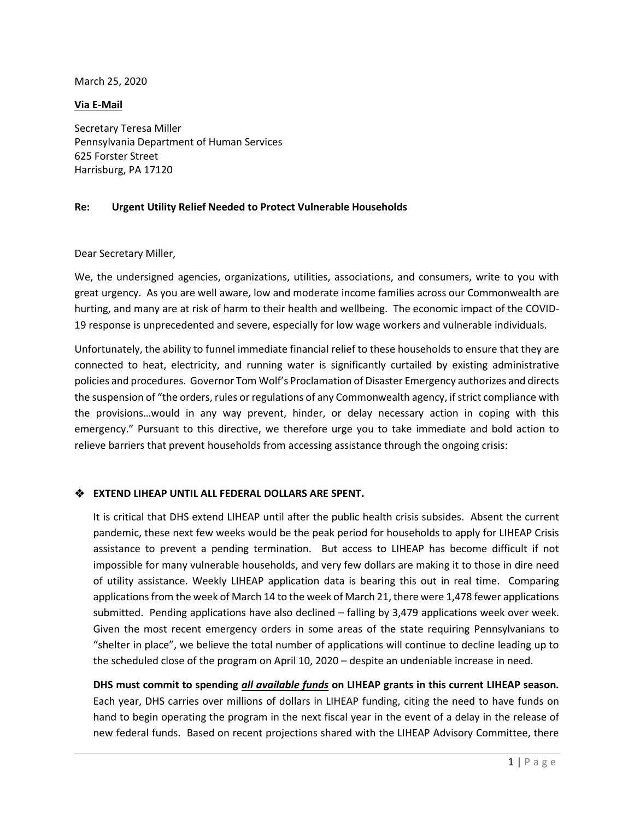March 25, 2020

## **Via E-Mail**

Secretary Teresa Miller Pennsylvania Department of Human Services 625 Forster Street Harrisburg, PA 17120

## **Re: Urgent Utility Relief Needed to Protect Vulnerable Households**

## Dear Secretary Miller,

We, the undersigned agencies, organizations, utilities, associations, and consumers, write to you with great urgency. As you are well aware, low and moderate income families across our Commonwealth are hurting, and many are at risk of harm to their health and wellbeing. The economic impact of the COVID-19 response is unprecedented and severe, especially for low wage workers and vulnerable individuals.

Unfortunately, the ability to funnel immediate financial relief to these households to ensure that they are connected to heat, electricity, and running water is significantly curtailed by existing administrative policies and procedures. Governor Tom Wolf's Proclamation of Disaster Emergency authorizes and directs the suspension of "the orders, rules or regulations of any Commonwealth agency, if strict compliance with the provisions…would in any way prevent, hinder, or delay necessary action in coping with this emergency." Pursuant to this directive, we therefore urge you to take immediate and bold action to relieve barriers that prevent households from accessing assistance through the ongoing crisis:

## **EXTEND LIHEAP UNTIL ALL FEDERAL DOLLARS ARE SPENT.**

It is critical that DHS extend LIHEAP until after the public health crisis subsides. Absent the current pandemic, these next few weeks would be the peak period for households to apply for LIHEAP Crisis assistance to prevent a pending termination. But access to LIHEAP has become difficult if not impossible for many vulnerable households, and very few dollars are making it to those in dire need of utility assistance. Weekly LIHEAP application data is bearing this out in real time. Comparing applications from the week of March 14 to the week of March 21, there were 1,478 fewer applications submitted. Pending applications have also declined – falling by 3,479 applications week over week. Given the most recent emergency orders in some areas of the state requiring Pennsylvanians to "shelter in place", we believe the total number of applications will continue to decline leading up to the scheduled close of the program on April 10, 2020 – despite an undeniable increase in need.

**DHS must commit to spending** *all available funds* **on LIHEAP grants in this current LIHEAP season.**  Each year, DHS carries over millions of dollars in LIHEAP funding, citing the need to have funds on hand to begin operating the program in the next fiscal year in the event of a delay in the release of new federal funds. Based on recent projections shared with the LIHEAP Advisory Committee, there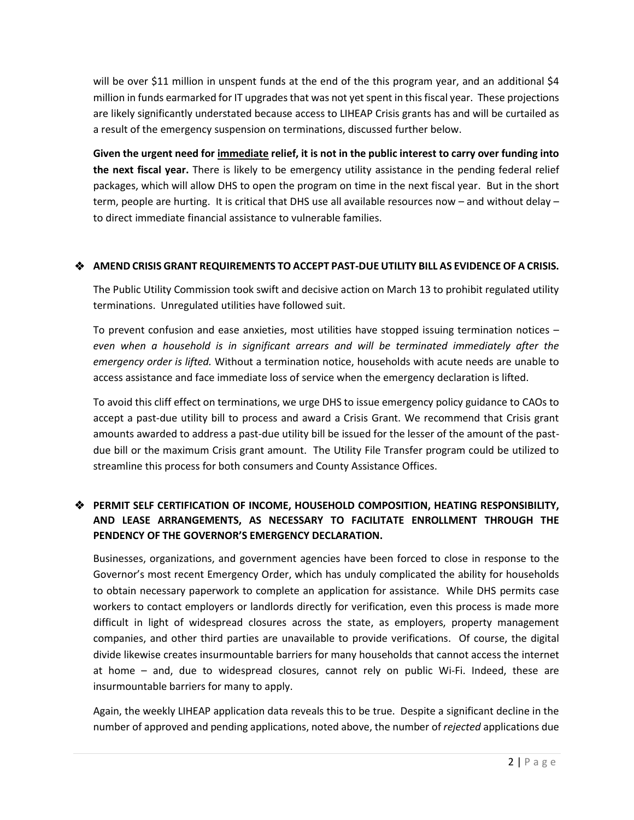will be over \$11 million in unspent funds at the end of the this program year, and an additional \$4 million in funds earmarked for IT upgrades that was not yet spent in this fiscal year. These projections are likely significantly understated because access to LIHEAP Crisis grants has and will be curtailed as a result of the emergency suspension on terminations, discussed further below.

**Given the urgent need for immediate relief, it is not in the public interest to carry over funding into the next fiscal year.** There is likely to be emergency utility assistance in the pending federal relief packages, which will allow DHS to open the program on time in the next fiscal year. But in the short term, people are hurting. It is critical that DHS use all available resources now – and without delay – to direct immediate financial assistance to vulnerable families.

## **AMEND CRISIS GRANT REQUIREMENTS TO ACCEPT PAST-DUE UTILITY BILL AS EVIDENCE OF A CRISIS.**

The Public Utility Commission took swift and decisive action on March 13 to prohibit regulated utility terminations. Unregulated utilities have followed suit.

To prevent confusion and ease anxieties, most utilities have stopped issuing termination notices – *even when a household is in significant arrears and will be terminated immediately after the emergency order is lifted.* Without a termination notice, households with acute needs are unable to access assistance and face immediate loss of service when the emergency declaration is lifted.

To avoid this cliff effect on terminations, we urge DHS to issue emergency policy guidance to CAOs to accept a past-due utility bill to process and award a Crisis Grant. We recommend that Crisis grant amounts awarded to address a past-due utility bill be issued for the lesser of the amount of the pastdue bill or the maximum Crisis grant amount. The Utility File Transfer program could be utilized to streamline this process for both consumers and County Assistance Offices.

# **PERMIT SELF CERTIFICATION OF INCOME, HOUSEHOLD COMPOSITION, HEATING RESPONSIBILITY, AND LEASE ARRANGEMENTS, AS NECESSARY TO FACILITATE ENROLLMENT THROUGH THE PENDENCY OF THE GOVERNOR'S EMERGENCY DECLARATION.**

Businesses, organizations, and government agencies have been forced to close in response to the Governor's most recent Emergency Order, which has unduly complicated the ability for households to obtain necessary paperwork to complete an application for assistance. While DHS permits case workers to contact employers or landlords directly for verification, even this process is made more difficult in light of widespread closures across the state, as employers, property management companies, and other third parties are unavailable to provide verifications. Of course, the digital divide likewise creates insurmountable barriers for many households that cannot access the internet at home – and, due to widespread closures, cannot rely on public Wi-Fi. Indeed, these are insurmountable barriers for many to apply.

Again, the weekly LIHEAP application data reveals this to be true. Despite a significant decline in the number of approved and pending applications, noted above, the number of *rejected* applications due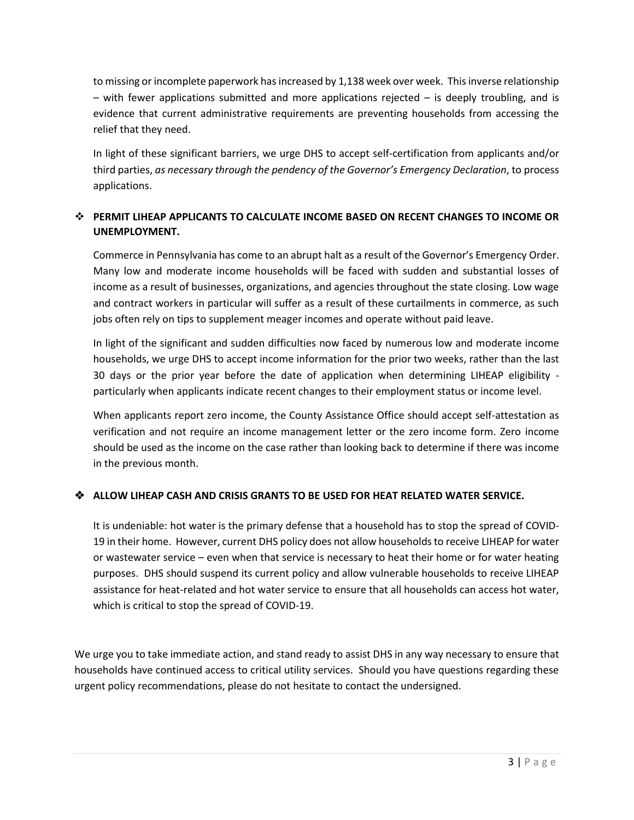to missing or incomplete paperwork has increased by 1,138 week over week. This inverse relationship – with fewer applications submitted and more applications rejected – is deeply troubling, and is evidence that current administrative requirements are preventing households from accessing the relief that they need.

In light of these significant barriers, we urge DHS to accept self-certification from applicants and/or third parties, *as necessary through the pendency of the Governor's Emergency Declaration*, to process applications.

## **PERMIT LIHEAP APPLICANTS TO CALCULATE INCOME BASED ON RECENT CHANGES TO INCOME OR UNEMPLOYMENT.**

Commerce in Pennsylvania has come to an abrupt halt as a result of the Governor's Emergency Order. Many low and moderate income households will be faced with sudden and substantial losses of income as a result of businesses, organizations, and agencies throughout the state closing. Low wage and contract workers in particular will suffer as a result of these curtailments in commerce, as such jobs often rely on tips to supplement meager incomes and operate without paid leave.

In light of the significant and sudden difficulties now faced by numerous low and moderate income households, we urge DHS to accept income information for the prior two weeks, rather than the last 30 days or the prior year before the date of application when determining LIHEAP eligibility particularly when applicants indicate recent changes to their employment status or income level.

When applicants report zero income, the County Assistance Office should accept self-attestation as verification and not require an income management letter or the zero income form. Zero income should be used as the income on the case rather than looking back to determine if there was income in the previous month.

# **ALLOW LIHEAP CASH AND CRISIS GRANTS TO BE USED FOR HEAT RELATED WATER SERVICE.**

It is undeniable: hot water is the primary defense that a household has to stop the spread of COVID-19 in their home. However, current DHS policy does not allow households to receive LIHEAP for water or wastewater service – even when that service is necessary to heat their home or for water heating purposes. DHS should suspend its current policy and allow vulnerable households to receive LIHEAP assistance for heat-related and hot water service to ensure that all households can access hot water, which is critical to stop the spread of COVID-19.

We urge you to take immediate action, and stand ready to assist DHS in any way necessary to ensure that households have continued access to critical utility services. Should you have questions regarding these urgent policy recommendations, please do not hesitate to contact the undersigned.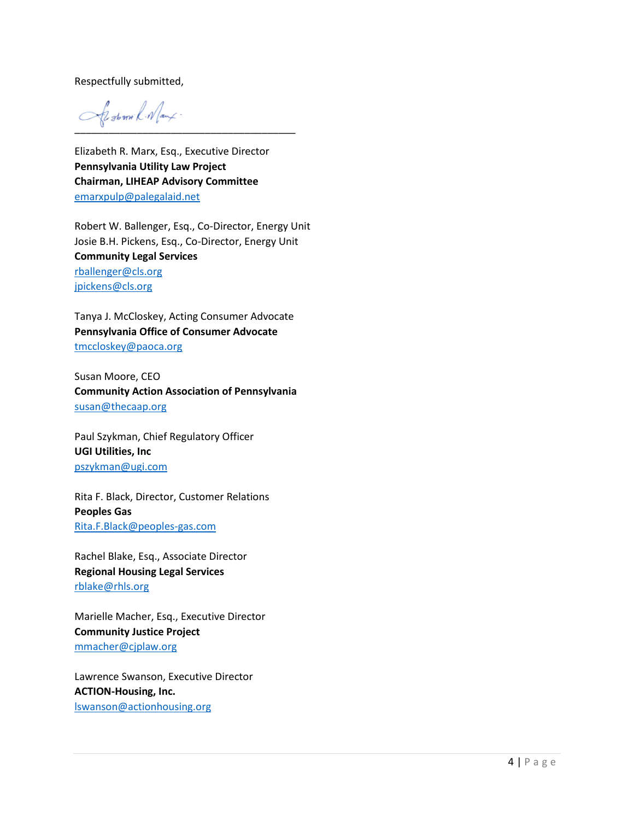Respectfully submitted,

fester l. Nanf.

Elizabeth R. Marx, Esq., Executive Director **Pennsylvania Utility Law Project Chairman, LIHEAP Advisory Committee**  emarxpulp@palegalaid.net

Robert W. Ballenger, Esq., Co-Director, Energy Unit Josie B.H. Pickens, Esq., Co-Director, Energy Unit **Community Legal Services** rballenger@cls.org jpickens@cls.org

Tanya J. McCloskey, Acting Consumer Advocate **Pennsylvania Office of Consumer Advocate** tmccloskey@paoca.org

Susan Moore, CEO **Community Action Association of Pennsylvania** susan@thecaap.org

Paul Szykman, Chief Regulatory Officer **UGI Utilities, Inc** pszykman@ugi.com

Rita F. Black, Director, Customer Relations **Peoples Gas** Rita.F.Black@peoples-gas.com

Rachel Blake, Esq., Associate Director **Regional Housing Legal Services** rblake@rhls.org

Marielle Macher, Esq., Executive Director **Community Justice Project** mmacher@cjplaw.org

Lawrence Swanson, Executive Director **ACTION-Housing, Inc.** lswanson@actionhousing.org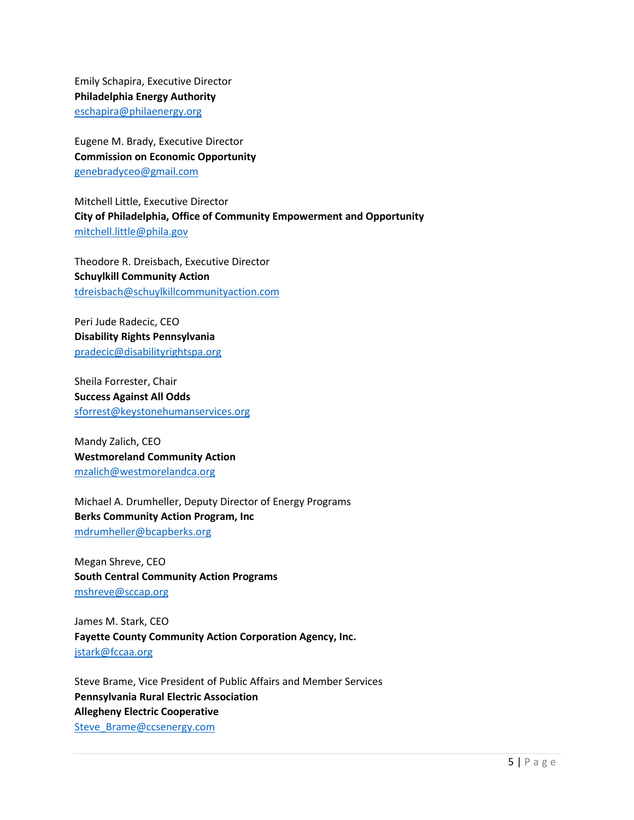Emily Schapira, Executive Director **Philadelphia Energy Authority** eschapira@philaenergy.org

Eugene M. Brady, Executive Director **Commission on Economic Opportunity** genebradyceo@gmail.com

Mitchell Little, Executive Director **City of Philadelphia, Office of Community Empowerment and Opportunity** mitchell.little@phila.gov

Theodore R. Dreisbach, Executive Director **Schuylkill Community Action** tdreisbach@schuylkillcommunityaction.com

Peri Jude Radecic, CEO **Disability Rights Pennsylvania** pradecic@disabilityrightspa.org

Sheila Forrester, Chair **Success Against All Odds** sforrest@keystonehumanservices.org

Mandy Zalich, CEO **Westmoreland Community Action** mzalich@westmorelandca.org

Michael A. Drumheller, Deputy Director of Energy Programs **Berks Community Action Program, Inc** mdrumheller@bcapberks.org

Megan Shreve, CEO **South Central Community Action Programs** mshreve@sccap.org

James M. Stark, CEO **Fayette County Community Action Corporation Agency, Inc.** jstark@fccaa.org

Steve Brame, Vice President of Public Affairs and Member Services **Pennsylvania Rural Electric Association Allegheny Electric Cooperative** Steve\_Brame@ccsenergy.com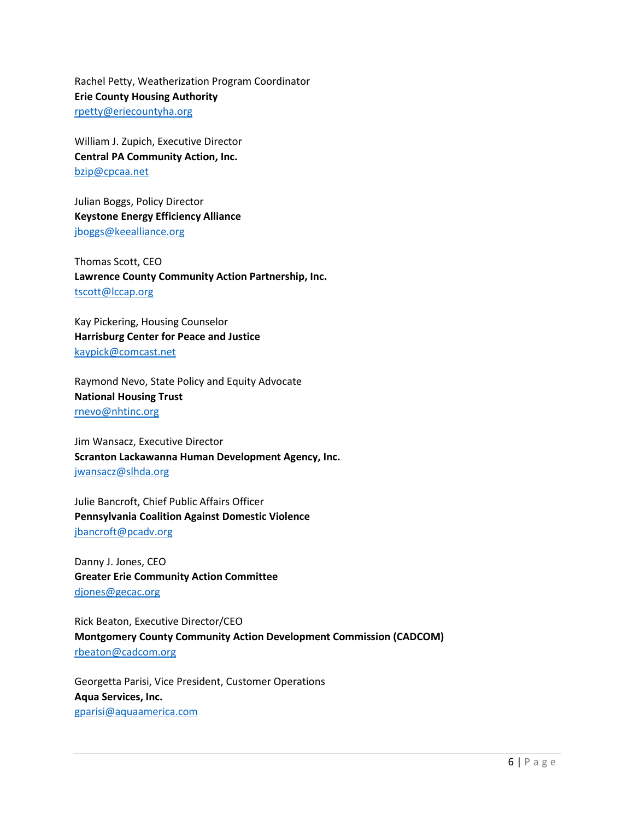Rachel Petty, Weatherization Program Coordinator **Erie County Housing Authority** rpetty@eriecountyha.org

William J. Zupich, Executive Director **Central PA Community Action, Inc.** bzip@cpcaa.net

Julian Boggs, Policy Director **Keystone Energy Efficiency Alliance** jboggs@keealliance.org

Thomas Scott, CEO **Lawrence County Community Action Partnership, Inc.** tscott@lccap.org

Kay Pickering, Housing Counselor **Harrisburg Center for Peace and Justice** kaypick@comcast.net

Raymond Nevo, State Policy and Equity Advocate **National Housing Trust** rnevo@nhtinc.org

Jim Wansacz, Executive Director **Scranton Lackawanna Human Development Agency, Inc.** jwansacz@slhda.org

Julie Bancroft, Chief Public Affairs Officer **Pennsylvania Coalition Against Domestic Violence** jbancroft@pcadv.org

Danny J. Jones, CEO **Greater Erie Community Action Committee** djones@gecac.org

Rick Beaton, Executive Director/CEO **Montgomery County Community Action Development Commission (CADCOM)** rbeaton@cadcom.org

Georgetta Parisi, Vice President, Customer Operations **Aqua Services, Inc.** gparisi@aquaamerica.com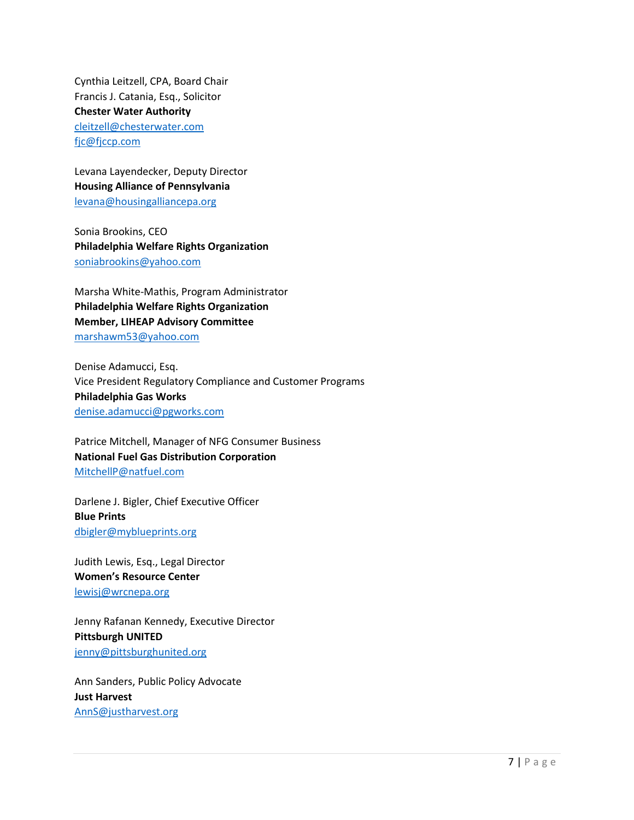Cynthia Leitzell, CPA, Board Chair Francis J. Catania, Esq., Solicitor **Chester Water Authority** cleitzell@chesterwater.com fjc@fjccp.com

Levana Layendecker, Deputy Director **Housing Alliance of Pennsylvania** levana@housingalliancepa.org

Sonia Brookins, CEO **Philadelphia Welfare Rights Organization** soniabrookins@yahoo.com

Marsha White-Mathis, Program Administrator **Philadelphia Welfare Rights Organization Member, LIHEAP Advisory Committee** marshawm53@yahoo.com

Denise Adamucci, Esq. Vice President Regulatory Compliance and Customer Programs **Philadelphia Gas Works** denise.adamucci@pgworks.com

Patrice Mitchell, Manager of NFG Consumer Business **National Fuel Gas Distribution Corporation** MitchellP@natfuel.com

Darlene J. Bigler, Chief Executive Officer **Blue Prints** dbigler@myblueprints.org

Judith Lewis, Esq., Legal Director **Women's Resource Center** lewisj@wrcnepa.org

Jenny Rafanan Kennedy, Executive Director **Pittsburgh UNITED**  jenny@pittsburghunited.org

Ann Sanders, Public Policy Advocate **Just Harvest** AnnS@justharvest.org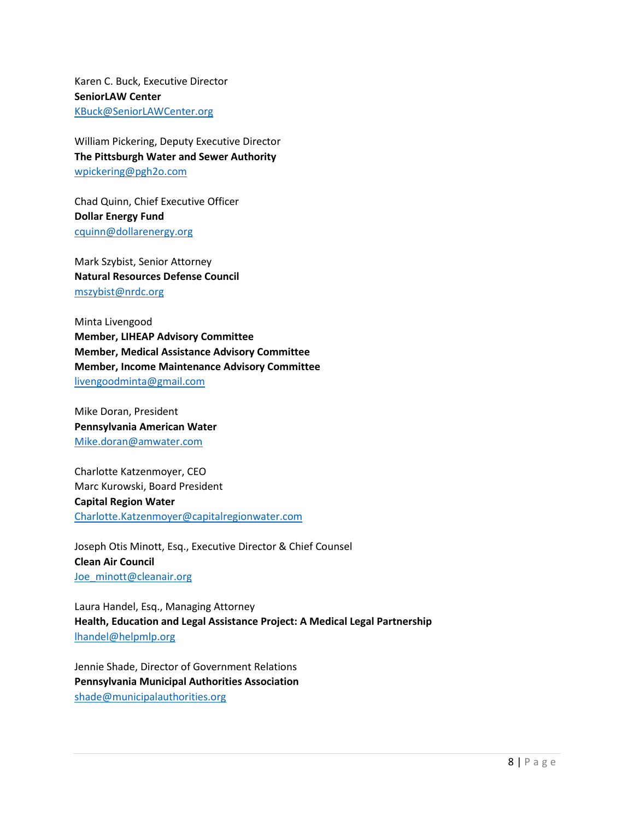Karen C. Buck, Executive Director **SeniorLAW Center** KBuck@SeniorLAWCenter.org

William Pickering, Deputy Executive Director **The Pittsburgh Water and Sewer Authority** wpickering@pgh2o.com

Chad Quinn, Chief Executive Officer **Dollar Energy Fund** cquinn@dollarenergy.org

Mark Szybist, Senior Attorney **Natural Resources Defense Council**  mszybist@nrdc.org

Minta Livengood **Member, LIHEAP Advisory Committee Member, Medical Assistance Advisory Committee Member, Income Maintenance Advisory Committee** livengoodminta@gmail.com

Mike Doran, President **Pennsylvania American Water** Mike.doran@amwater.com

Charlotte Katzenmoyer, CEO Marc Kurowski, Board President **Capital Region Water**  Charlotte.Katzenmoyer@capitalregionwater.com

Joseph Otis Minott, Esq., Executive Director & Chief Counsel **Clean Air Council** Joe\_minott@cleanair.org

Laura Handel, Esq., Managing Attorney **Health, Education and Legal Assistance Project: A Medical Legal Partnership** lhandel@helpmlp.org

Jennie Shade, Director of Government Relations **Pennsylvania Municipal Authorities Association** shade@municipalauthorities.org